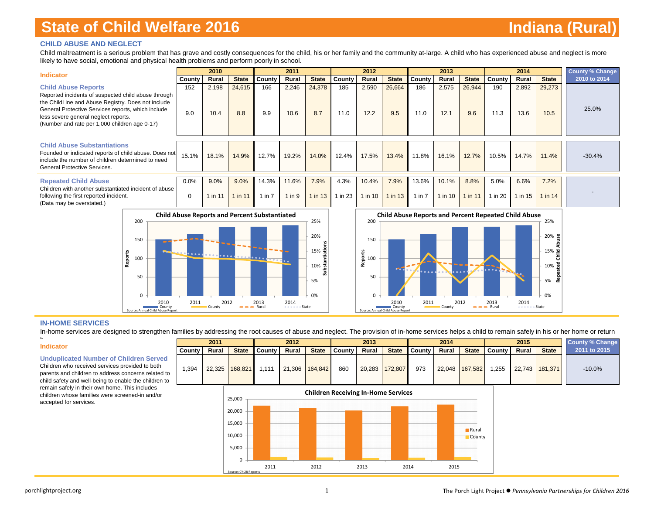### **CHILD ABUSE AND NEGLECT**

Child maltreatment is a serious problem that has grave and costly consequences for the child, his or her family and the community at-large. A child who has experienced abuse and neglect is more likely to have social, emotional and physical health problems and perform poorly in school.

| <b>Indicator</b>                                                                                                                                                                                                                                                                       |                     | 2010            |                   |                   | 2011                |                 |                  | 2012             |                   |                     | 2013             |                     |                 | 2014            |                 | <b>County % Change</b> |
|----------------------------------------------------------------------------------------------------------------------------------------------------------------------------------------------------------------------------------------------------------------------------------------|---------------------|-----------------|-------------------|-------------------|---------------------|-----------------|------------------|------------------|-------------------|---------------------|------------------|---------------------|-----------------|-----------------|-----------------|------------------------|
|                                                                                                                                                                                                                                                                                        | County              | Rural           | <b>State</b>      | County            | Rural               | <b>State</b>    | County           | Rural            | <b>State</b>      | County              | Rural            | <b>State</b>        | County          | Rural           | <b>State</b>    | 2010 to 2014           |
| <b>Child Abuse Reports</b><br>Reported incidents of suspected child abuse through<br>the ChildLine and Abuse Registry. Does not include<br>General Protective Services reports, which include<br>less severe general neglect reports.<br>(Number and rate per 1,000 children age 0-17) | 152<br>9.0          | 2,198<br>10.4   | 24,615<br>8.8     | 166<br>9.9        | 2,246<br>10.6       | 24,378<br>8.7   | 185<br>11.0      | 2,590<br>12.2    | 26,664<br>9.5     | 186<br>11.0         | 2,575<br>12.1    | 26,944<br>9.6       | 190<br>11.3     | 2,892<br>13.6   | 29,273<br>10.5  | 25.0%                  |
| <b>Child Abuse Substantiations</b><br>Founded or indicated reports of child abuse. Does not<br>include the number of children determined to need<br>General Protective Services.                                                                                                       | 15.1%               | 18.1%           | 14.9%             | 12.7%             | 19.2%               | 14.0%           | 12.4%            | 17.5%            | 13.4%             | 11.8%               | 16.1%            | 12.7%               | 10.5%           | 14.7%           | 11.4%           | $-30.4%$               |
| <b>Repeated Child Abuse</b><br>Children with another substantiated incident of abuse<br>following the first reported incident.<br>(Data may be overstated.)                                                                                                                            | $0.0\%$<br>$\Omega$ | 9.0%<br>1 in 11 | 9.0%<br>$1$ in 11 | 14.3%<br>1 in $7$ | 11.6%<br>$1$ in $9$ | 7.9%<br>1 in 13 | 4.3%<br>$\ln 23$ | 10.4%<br>1 in 10 | 7.9%<br>$1$ in 13 | 13.6%<br>$1$ in $7$ | 10.1%<br>1 in 10 | 8.8%<br>$1$ in $11$ | 5.0%<br>1 in 20 | 6.6%<br>1 in 15 | 7.2%<br>1 in 14 |                        |





#### **IN-HOME SERVICES**

In-home services are designed to strengthen families by addressing the root causes of abuse and neglect. The provision of in-home services helps a child to remain safely in his or her home or return

#### **Indicator**

h

**Unduplicated Number of Children Served**

child safety and well-being to enable the children to remain safely in their own home. This includes children whose families were screened-in and/or accepted for services.



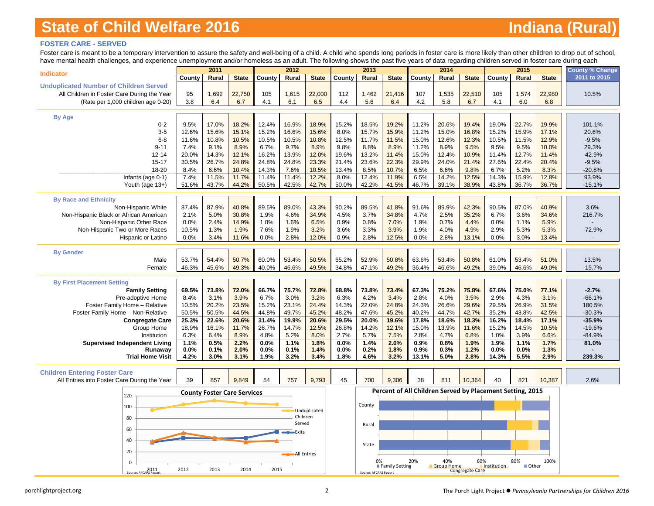### **FOSTER CARE - SERVED**

Foster care is meant to be a temporary intervention to assure the safety and well-being of a child. A child who spends long periods in foster care is more likely than other children to drop out of school, have mental health challenges, and experience unemployment and/or homeless as a adult. The following shows the past five years of data regarding children served in foster care during each

| nave mental neatin challenges, and experience unemployment and/or nomeless as an adult. The following shows the past live years or data regarding children served in foster care during each |                | 2011                               |                |                 | 2012               |                |                | 2013                  |                |                                                           | 2014           |                 |                | 2015           |                |                                        |
|----------------------------------------------------------------------------------------------------------------------------------------------------------------------------------------------|----------------|------------------------------------|----------------|-----------------|--------------------|----------------|----------------|-----------------------|----------------|-----------------------------------------------------------|----------------|-----------------|----------------|----------------|----------------|----------------------------------------|
| <b>Indicator</b>                                                                                                                                                                             | County         | Rural                              | <b>State</b>   | County          | Rural              | <b>State</b>   | County         | Rural                 | <b>State</b>   | County                                                    | Rural          | <b>State</b>    | County         | Rural          | <b>State</b>   | <b>County % Change</b><br>2011 to 2015 |
| <b>Unduplicated Number of Children Served</b>                                                                                                                                                |                |                                    |                |                 |                    |                |                |                       |                |                                                           |                |                 |                |                |                |                                        |
| All Children in Foster Care During the Year                                                                                                                                                  | 95             | 1,692                              | 22,750         | 105             | 1,615              | 22,000         | 112            | 1,462                 | 21,416         | 107                                                       | 1,535          | 22,510          | 105            | 1,574          | 22,980         | 10.5%                                  |
| (Rate per 1,000 children age 0-20)                                                                                                                                                           | 3.8            | 6.4                                | 6.7            | 4.1             | 6.1                | 6.5            | 4.4            | 5.6                   | 6.4            | 4.2                                                       | 5.8            | 6.7             | 4.1            | 6.0            | 6.8            |                                        |
|                                                                                                                                                                                              |                |                                    |                |                 |                    |                |                |                       |                |                                                           |                |                 |                |                |                |                                        |
| <b>By Age</b>                                                                                                                                                                                |                |                                    |                |                 |                    |                |                |                       |                |                                                           |                |                 |                |                |                |                                        |
| $0 - 2$                                                                                                                                                                                      | 9.5%           | 17.0%                              | 18.2%          | 12.4%           | 16.9%              | 18.9%          | 15.2%          | 18.5%                 | 19.2%          | 11.2%                                                     | 20.6%          | 19.4%           | 19.0%          | 22.7%          | 19.9%          | 101.1%                                 |
| $3-5$                                                                                                                                                                                        | 12.6%          | 15.6%                              | 15.1%          | 15.2%           | 16.6%              | 15.6%          | 8.0%           | 15.7%                 | 15.9%          | 11.2%                                                     | 15.0%          | 16.8%           | 15.2%          | 15.9%          | 17.1%          | 20.6%                                  |
| $6 - 8$                                                                                                                                                                                      | 11.6%          | 10.8%                              | 10.5%          | 10.5%           | 10.5%              | 10.8%          | 12.5%          | 11.7%                 | 11.5%          | 15.0%                                                     | 12.6%          | 12.3%           | 10.5%          | 11.5%          | 12.9%          | $-9.5%$                                |
| $9 - 11$                                                                                                                                                                                     | 7.4%           | 9.1%                               | 8.9%           | 6.7%            | 9.7%               | 8.9%           | 9.8%           | 8.8%                  | 8.9%           | 11.2%                                                     | 8.9%           | 9.5%            | 9.5%           | 9.5%           | 10.0%          | 29.3%                                  |
| $12 - 14$                                                                                                                                                                                    | 20.0%          | 14.3%                              | 12.1%          | 16.2%           | 13.9%              | 12.0%          | 19.6%          | 13.2%                 | 11.4%          | 15.0%                                                     | 12.4%          | 10.9%           | 11.4%          | 12.7%          | 11.4%          | $-42.9%$                               |
| $15 - 17$<br>18-20                                                                                                                                                                           | 30.5%<br>8.4%  | 26.7%<br>6.6%                      | 24.8%<br>10.4% | 24.8%<br>14.3%  | 24.8%<br>7.6%      | 23.3%<br>10.5% | 21.4%<br>13.4% | 23.6%<br>8.5%         | 22.3%<br>10.7% | 29.9%<br>6.5%                                             | 24.0%<br>6.6%  | 21.4%<br>9.8%   | 27.6%<br>6.7%  | 22.4%<br>5.2%  | 20.4%<br>8.3%  | $-9.5%$<br>$-20.8%$                    |
| Infants (age 0-1)                                                                                                                                                                            | 7.4%           | 11.5%                              | 11.7%          | 11.4%           | 11.4%              | 12.2%          | 8.0%           | 12.4%                 | 11.9%          | 6.5%                                                      | 14.2%          | 12.5%           | 14.3%          | 15.9%          | 12.8%          | 93.9%                                  |
| Youth (age 13+)                                                                                                                                                                              | 51.6%          | 43.7%                              | 44.2%          | 50.5%           | 42.5%              | 42.7%          | 50.0%          | 42.2%                 | 41.5%          | 46.7%                                                     | 39.1%          | 38.9%           | 43.8%          | 36.7%          | 36.7%          | $-15.1%$                               |
|                                                                                                                                                                                              |                |                                    |                |                 |                    |                |                |                       |                |                                                           |                |                 |                |                |                |                                        |
| <b>By Race and Ethnicity</b>                                                                                                                                                                 |                |                                    |                |                 |                    |                |                |                       |                |                                                           |                |                 |                |                |                |                                        |
| Non-Hispanic White                                                                                                                                                                           | 87.4%          | 87.9%                              | 40.8%          | 89.5%           | 89.0%              | 43.3%          | 90.2%          | 89.5%                 | 41.8%          | 91.6%                                                     | 89.9%          | 42.3%           | 90.5%          | 87.0%          | 40.9%          | 3.6%                                   |
| Non-Hispanic Black or African American                                                                                                                                                       | 2.1%           | 5.0%                               | 30.8%          | 1.9%            | 4.6%               | 34.9%          | 4.5%           | 3.7%                  | 34.8%          | 4.7%                                                      | 2.5%           | 35.2%           | 6.7%           | 3.6%           | 34.6%          | 216.7%                                 |
| Non-Hispanic Other Race                                                                                                                                                                      | 0.0%           | 2.4%                               | 14.9%          | 1.0%            | 1.6%               | 6.5%           | 0.9%           | 0.8%                  | 7.0%           | 1.9%                                                      | 0.7%           | 4.4%            | 0.0%           | 1.1%           | 5.9%           |                                        |
| Non-Hispanic Two or More Races                                                                                                                                                               | 10.5%          | 1.3%                               | 1.9%           | 7.6%            | 1.9%               | 3.2%           | 3.6%           | 3.3%                  | 3.9%           | 1.9%                                                      | 4.0%           | 4.9%            | 2.9%           | 5.3%           | 5.3%           | $-72.9%$                               |
| Hispanic or Latino                                                                                                                                                                           | 0.0%           | 3.4%                               | 11.6%          | 0.0%            | 2.8%               | 12.0%          | 0.9%           | 2.8%                  | 12.5%          | 0.0%                                                      | 2.8%           | 13.1%           | 0.0%           | 3.0%           | 13.4%          |                                        |
|                                                                                                                                                                                              |                |                                    |                |                 |                    |                |                |                       |                |                                                           |                |                 |                |                |                |                                        |
| <b>By Gender</b>                                                                                                                                                                             |                | 54.4%                              |                |                 |                    |                |                |                       |                | 63.6%                                                     |                |                 |                |                |                |                                        |
| Male<br>Female                                                                                                                                                                               | 53.7%<br>46.3% | 45.6%                              | 50.7%<br>49.3% | 60.0%<br>40.0%  | 53.4%<br>46.6%     | 50.5%<br>49.5% | 65.2%<br>34.8% | 52.9%<br>47.1%        | 50.8%<br>49.2% | 36.4%                                                     | 53.4%<br>46.6% | 50.8%<br>49.2%  | 61.0%<br>39.0% | 53.4%<br>46.6% | 51.0%<br>49.0% | 13.5%<br>$-15.7%$                      |
|                                                                                                                                                                                              |                |                                    |                |                 |                    |                |                |                       |                |                                                           |                |                 |                |                |                |                                        |
| <b>By First Placement Setting</b>                                                                                                                                                            |                |                                    |                |                 |                    |                |                |                       |                |                                                           |                |                 |                |                |                |                                        |
| <b>Family Setting</b>                                                                                                                                                                        | 69.5%          | 73.8%                              | 72.0%          | 66.7%           | 75.7%              | 72.8%          | 68.8%          | 73.8%                 | 73.4%          | 67.3%                                                     | 75.2%          | 75.8%           | 67.6%          | 75.0%          | 77.1%          | $-2.7%$                                |
| Pre-adoptive Home                                                                                                                                                                            | 8.4%           | 3.1%                               | 3.9%           | 6.7%            | 3.0%               | 3.2%           | 6.3%           | 4.2%                  | 3.4%           | 2.8%                                                      | 4.0%           | 3.5%            | 2.9%           | 4.3%           | 3.1%           | $-66.1%$                               |
| Foster Family Home - Relative                                                                                                                                                                | 10.5%          | 20.2%                              | 23.5%          | 15.2%           | 23.1%              | 24.4%          | 14.3%          | 22.0%                 | 24.8%          | 24.3%                                                     | 26.6%          | 29.6%           | 29.5%          | 26.9%          | 31.5%          | 180.5%                                 |
| Foster Family Home - Non-Relative                                                                                                                                                            | 50.5%          | 50.5%                              | 44.5%          | 44.8%           | 49.7%              | 45.2%          | 48.2%          | 47.6%                 | 45.2%          | 40.2%                                                     | 44.7%          | 42.7%           | 35.2%          | 43.8%          | 42.5%          | $-30.3%$                               |
| <b>Congregate Care</b>                                                                                                                                                                       | 25.3%          | 22.6%                              | 20.6%          | 31.4%           | 19.9%              | 20.6%          | 29.5%          | 20.0%                 | 19.6%          | 17.8%                                                     | 18.6%          | 18.3%           | 16.2%          | 18.4%          | 17.1%          | $-35.9%$                               |
| Group Home                                                                                                                                                                                   | 18.9%          | 16.1%                              | 11.7%          | 26.7%           | 14.7%              | 12.5%          | 26.8%          | 14.2%                 | 12.1%          | 15.0%                                                     | 13.9%          | 11.6%           | 15.2%          | 14.5%          | 10.5%          | $-19.6%$                               |
| Institution                                                                                                                                                                                  | 6.3%           | 6.4%                               | 8.9%           | 4.8%            | 5.2%               | 8.0%           | 2.7%           | 5.7%                  | 7.5%           | 2.8%                                                      | 4.7%           | 6.8%            | 1.0%           | 3.9%           | 6.6%           | $-84.9%$                               |
| <b>Supervised Independent Living</b><br>Runaway                                                                                                                                              | 1.1%<br>0.0%   | 0.5%<br>0.1%                       | 2.2%<br>2.0%   | 0.0%<br>$0.0\%$ | 1.1%<br>0.1%       | 1.8%<br>1.4%   | 0.0%<br>0.0%   | 1.4%<br>0.2%          | 2.0%<br>1.8%   | 0.9%<br>0.9%                                              | 0.8%<br>0.3%   | 1.9%<br>1.2%    | 1.9%<br>0.0%   | 1.1%<br>0.0%   | 1.7%<br>1.3%   | 81.0%                                  |
| <b>Trial Home Visit</b>                                                                                                                                                                      | 4.2%           | 3.0%                               | 3.1%           | 1.9%            | 3.2%               | 3.4%           | 1.8%           | 4.6%                  | 3.2%           | 13.1%                                                     | 5.0%           | 2.8%            | 14.3%          | 5.5%           | 2.9%           | 239.3%                                 |
|                                                                                                                                                                                              |                |                                    |                |                 |                    |                |                |                       |                |                                                           |                |                 |                |                |                |                                        |
| <b>Children Entering Foster Care</b>                                                                                                                                                         |                |                                    |                |                 |                    |                |                |                       |                |                                                           |                |                 |                |                |                |                                        |
| All Entries into Foster Care During the Year                                                                                                                                                 | 39             | 857                                | 9,849          | 54              | 757                | 9,793          | 45             | 700                   | 9,306          | 38                                                        | 811            | 10,364          | 40             | 821            | 10,387         | 2.6%                                   |
|                                                                                                                                                                                              |                |                                    |                |                 |                    |                |                |                       |                | Percent of All Children Served by Placement Setting, 2015 |                |                 |                |                |                |                                        |
| 120                                                                                                                                                                                          |                | <b>County Foster Care Services</b> |                |                 |                    |                |                |                       |                |                                                           |                |                 |                |                |                |                                        |
| 100                                                                                                                                                                                          |                |                                    |                |                 |                    |                |                | County                |                |                                                           |                |                 |                |                |                |                                        |
|                                                                                                                                                                                              |                |                                    |                |                 |                    | Unduplicated   |                |                       |                |                                                           |                |                 |                |                |                |                                        |
| 80                                                                                                                                                                                           |                |                                    |                |                 | Children<br>Served |                |                |                       |                |                                                           |                |                 |                |                |                |                                        |
| 60                                                                                                                                                                                           |                |                                    |                |                 |                    |                |                | Rural                 |                |                                                           |                |                 |                |                |                |                                        |
| 40                                                                                                                                                                                           |                |                                    |                |                 | Exits              |                |                |                       |                |                                                           |                |                 |                |                |                |                                        |
|                                                                                                                                                                                              |                |                                    |                |                 |                    |                |                | State                 |                |                                                           |                |                 |                |                |                |                                        |
| 20                                                                                                                                                                                           |                |                                    |                |                 | -All Entries       |                |                |                       |                |                                                           |                |                 |                |                |                |                                        |
| $\mathbf 0$                                                                                                                                                                                  |                |                                    |                |                 |                    |                |                |                       |                | 20%                                                       | 40%            | 60%             |                | 80%            | 100%           |                                        |
| 2011<br>- Source: AECARS Reno                                                                                                                                                                | 2012           | 2013                               | 2014           | 2015            |                    |                |                | Source: AECARS Report | Family Setting |                                                           | Group Home     | Congregate Care | Institution    | ■ Other        |                |                                        |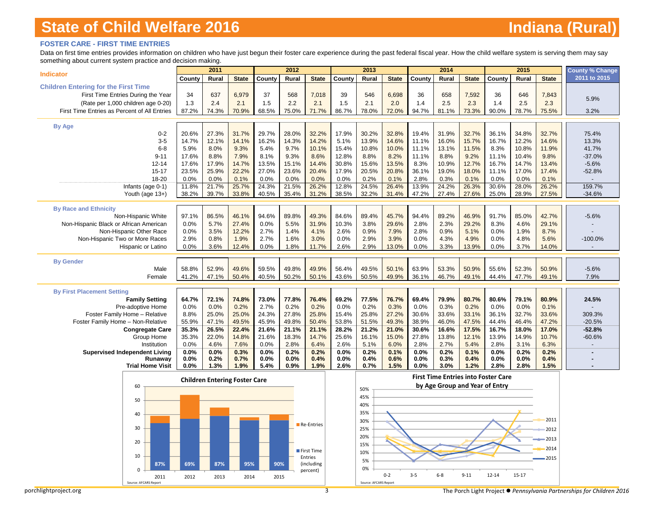### **FOSTER CARE - FIRST TIME ENTRIES**

Data on first time entries provides information on children who have just begun their foster care experience during the past federal fiscal year. How the child welfare system is serving them may say something about current system practice and decision making.

|                                                           |                | 2011                                 |               |                | 2012           |                       |                | 2013          |               |                | 2014           |                                |                                            | 2015           |                | <b>County % Change</b> |
|-----------------------------------------------------------|----------------|--------------------------------------|---------------|----------------|----------------|-----------------------|----------------|---------------|---------------|----------------|----------------|--------------------------------|--------------------------------------------|----------------|----------------|------------------------|
| <b>Indicator</b>                                          | County         | Rural                                | <b>State</b>  | County         | Rural          | <b>State</b>          | County         | Rural         | <b>State</b>  | County         | Rural          | <b>State</b>                   | County                                     | Rural          | <b>State</b>   | 2011 to 2015           |
| <b>Children Entering for the First Time</b>               |                |                                      |               |                |                |                       |                |               |               |                |                |                                |                                            |                |                |                        |
| First Time Entries During the Year                        | 34             | 637                                  | 6,979         | 37             | 568            | 7,018                 | 39             | 546           | 6,698         | 36             | 658            | 7,592                          | 36                                         | 646            | 7,843          |                        |
| (Rate per 1,000 children age 0-20)                        | 1.3            | 2.4                                  | 2.1           | 1.5            | 2.2            | 2.1                   | 1.5            | 2.1           | 2.0           | 1.4            | 2.5            | 2.3                            | $1.4$                                      | 2.5            | 2.3            | 5.9%                   |
| First Time Entries as Percent of All Entries              | 87.2%          | 74.3%                                | 70.9%         | 68.5%          | 75.0%          | 71.7%                 | 86.7%          | 78.0%         | 72.0%         | 94.7%          | 81.1%          | 73.3%                          | 90.0%                                      | 78.7%          | 75.5%          | 3.2%                   |
| <b>By Age</b>                                             |                |                                      |               |                |                |                       |                |               |               |                |                |                                |                                            |                |                |                        |
| $0 - 2$                                                   | 20.6%          | 27.3%                                | 31.7%         | 29.7%          | 28.0%          | 32.2%                 | 17.9%          | 30.2%         | 32.8%         | 19.4%          | 31.9%          | 32.7%                          | 36.1%                                      | 34.8%          | 32.7%          | 75.4%                  |
| $3 - 5$                                                   | 14.7%          | 12.1%                                | 14.1%         | 16.2%          | 14.3%          | 14.2%                 | 5.1%           | 13.9%         | 14.6%         | 11.1%          | 16.0%          | 15.7%                          | 16.7%                                      | 12.2%          | 14.6%          | 13.3%                  |
| $6 - 8$                                                   | 5.9%           | 8.0%                                 | 9.3%          | 5.4%           | 9.7%           | 10.1%                 | 15.4%          | 10.8%         | 10.0%         | 11.1%          | 13.1%          | 11.5%                          | 8.3%                                       | 10.8%          | 11.9%          | 41.7%                  |
| $9 - 11$                                                  | 17.6%          | 8.8%                                 | 7.9%          | 8.1%           | 9.3%           | 8.6%                  | 12.8%          | 8.8%          | 8.2%          | 11.1%          | 8.8%           | 9.2%                           | 11.1%                                      | 10.4%          | 9.8%           | $-37.0%$               |
| $12 - 14$                                                 | 17.6%          | 17.9%                                | 14.7%         | 13.5%          | 15.1%          | 14.4%                 | 30.8%          | 15.6%         | 13.5%         | 8.3%           | 10.9%          | 12.7%                          | 16.7%                                      | 14.7%          | 13.4%          | $-5.6%$                |
| $15 - 17$                                                 | 23.5%          | 25.9%                                | 22.2%         | 27.0%          | 23.6%          | 20.4%                 | 17.9%          | 20.5%         | 20.8%         | 36.1%          | 19.0%          | 18.0%                          | 11.1%                                      | 17.0%          | 17.4%          | $-52.8%$               |
| 18-20                                                     | 0.0%           | 0.0%                                 | 0.1%<br>25.7% | 0.0%           | 0.0%           | 0.0%                  | 0.0%           | 0.2%<br>24.5% | 0.1%<br>26.4% | 2.8%           | 0.3%           | 0.1%<br>26.3%                  | 0.0%                                       | 0.0%           | 0.1%           | 159.7%                 |
| Infants (age 0-1)<br>Youth (age 13+)                      | 11.8%<br>38.2% | 21.7%<br>39.7%                       | 33.8%         | 24.3%<br>40.5% | 21.5%<br>35.4% | 26.2%<br>31.2%        | 12.8%<br>38.5% | 32.2%         | 31.4%         | 13.9%<br>47.2% | 24.2%<br>27.4% | 27.6%                          | 30.6%<br>25.0%                             | 28.0%<br>28.9% | 26.2%<br>27.5% | $-34.6%$               |
|                                                           |                |                                      |               |                |                |                       |                |               |               |                |                |                                |                                            |                |                |                        |
| <b>By Race and Ethnicity</b>                              |                |                                      |               |                |                |                       |                |               |               |                |                |                                |                                            |                |                |                        |
| Non-Hispanic White                                        | 97.1%          | 86.5%                                | 46.1%         | 94.6%          | 89.8%          | 49.3%                 | 84.6%          | 89.4%         | 45.7%         | 94.4%          | 89.2%          | 46.9%                          | 91.7%                                      | 85.0%          | 42.7%          | $-5.6%$                |
| Non-Hispanic Black or African American                    | 0.0%           | 5.7%                                 | 27.4%         | 0.0%           | 5.5%           | 31.9%                 | 10.3%          | 3.8%          | 29.6%         | 2.8%           | 2.3%           | 29.2%                          | 8.3%                                       | 4.6%           | 29.1%          |                        |
| Non-Hispanic Other Race<br>Non-Hispanic Two or More Races | 0.0%<br>2.9%   | 3.5%<br>0.8%                         | 12.2%<br>1.9% | 2.7%<br>2.7%   | 1.4%<br>1.6%   | 4.1%<br>3.0%          | 2.6%<br>0.0%   | 0.9%<br>2.9%  | 7.9%<br>3.9%  | 2.8%<br>0.0%   | 0.9%<br>4.3%   | 5.1%<br>4.9%                   | 0.0%<br>0.0%                               | 1.9%<br>4.8%   | 8.7%<br>5.6%   |                        |
| <b>Hispanic or Latino</b>                                 | 0.0%           | 3.6%                                 | 12.4%         | 0.0%           | 1.8%           | 11.7%                 | 2.6%           | 2.9%          | 13.0%         | 0.0%           | 3.3%           | 13.9%                          | 0.0%                                       | 3.7%           | 14.0%          | $-100.0%$              |
|                                                           |                |                                      |               |                |                |                       |                |               |               |                |                |                                |                                            |                |                |                        |
| <b>By Gender</b>                                          |                |                                      |               |                |                |                       |                |               |               |                |                |                                |                                            |                |                |                        |
| Male                                                      | 58.8%          | 52.9%                                | 49.6%         | 59.5%          | 49.8%          | 49.9%                 | 56.4%          | 49.5%         | 50.1%         | 63.9%          | 53.3%          | 50.9%                          | 55.6%                                      | 52.3%          | 50.9%          | $-5.6%$                |
| Female                                                    | 41.2%          | 47.1%                                | 50.4%         | 40.5%          | 50.2%          | 50.1%                 | 43.6%          | 50.5%         | 49.9%         | 36.1%          | 46.7%          | 49.1%                          | 44.4%                                      | 47.7%          | 49.1%          | 7.9%                   |
| <b>By First Placement Setting</b>                         |                |                                      |               |                |                |                       |                |               |               |                |                |                                |                                            |                |                |                        |
| <b>Family Setting</b>                                     | 64.7%          | 72.1%                                | 74.8%         | 73.0%          | 77.8%          | 76.4%                 | 69.2%          | 77.5%         | 76.7%         | 69.4%          | 79.9%          | 80.7%                          | 80.6%                                      | 79.1%          | 80.9%          | 24.5%                  |
| Pre-adoptive Home                                         | 0.0%           | 0.0%                                 | 0.2%          | 2.7%           | 0.2%           | 0.2%                  | 0.0%           | 0.2%          | 0.3%          | 0.0%           | 0.3%           | 0.2%                           | 0.0%                                       | 0.0%           | 0.1%           |                        |
| Foster Family Home - Relative                             | 8.8%           | 25.0%                                | 25.0%         | 24.3%          | 27.8%          | 25.8%                 | 15.4%          | 25.8%         | 27.2%         | 30.6%          | 33.6%          | 33.1%                          | 36.1%                                      | 32.7%          | 33.6%          | 309.3%                 |
| Foster Family Home - Non-Relative                         | 55.9%          | 47.1%                                | 49.5%         | 45.9%          | 49.8%          | 50.4%                 | 53.8%          | 51.5%         | 49.3%         | 38.9%          | 46.0%          | 47.5%                          | 44.4%                                      | 46.4%          | 47.2%          | $-20.5%$               |
| <b>Congregate Care</b>                                    | 35.3%          | 26.5%                                | 22.4%         | 21.6%          | 21.1%          | 21.1%                 | 28.2%          | 21.2%         | 21.0%         | 30.6%          | 16.6%          | 17.5%                          | 16.7%                                      | 18.0%          | 17.0%          | $-52.8%$               |
| Group Home                                                | 35.3%          | 22.0%                                | 14.8%         | 21.6%          | 18.3%          | 14.7%                 | 25.6%          | 16.1%         | 15.0%         | 27.8%          | 13.8%          | 12.1%                          | 13.9%                                      | 14.9%          | 10.7%          | $-60.6%$               |
| Institution                                               | 0.0%<br>0.0%   | 4.6%<br>0.0%                         | 7.6%<br>0.3%  | 0.0%<br>0.0%   | 2.8%<br>0.2%   | 6.4%<br>0.2%          | 2.6%<br>0.0%   | 5.1%<br>0.2%  | 6.0%<br>0.1%  | 2.8%<br>0.0%   | 2.7%<br>0.2%   | 5.4%<br>0.1%                   | 2.8%<br>0.0%                               | 3.1%<br>0.2%   | 6.3%<br>0.2%   |                        |
| <b>Supervised Independent Living</b><br>Runaway           | 0.0%           | 0.2%                                 | 0.7%          | 0.0%           | 0.0%           | 0.4%                  | 0.0%           | 0.4%          | 0.6%          | 0.0%           | 0.3%           | 0.4%                           | 0.0%                                       | 0.0%           | 0.4%           |                        |
| <b>Trial Home Visit</b>                                   | 0.0%           | 1.3%                                 | 1.9%          | 5.4%           | 0.9%           | 1.9%                  | 2.6%           | 0.7%          | 1.5%          | $0.0\%$        | 3.0%           | 1.2%                           | 2.8%                                       | 2.8%           | 1.5%           | $\blacksquare$         |
|                                                           |                | <b>Children Entering Foster Care</b> |               |                |                |                       |                |               |               |                |                |                                | <b>First Time Entries into Foster Care</b> |                |                |                        |
| 60                                                        |                |                                      |               |                |                |                       |                | 50%           |               |                |                | by Age Group and Year of Entry |                                            |                |                |                        |
|                                                           |                |                                      |               |                |                |                       |                | 45%           |               |                |                |                                |                                            |                |                |                        |
| 50                                                        |                |                                      |               |                |                |                       |                | 40%           |               |                |                |                                |                                            |                |                |                        |
| 40                                                        |                |                                      |               |                |                |                       |                | 35%           |               |                |                |                                |                                            |                |                |                        |
|                                                           |                |                                      |               |                |                | Re-Entries            |                | 30%           |               |                |                |                                |                                            |                | 2011           |                        |
| 30                                                        |                |                                      |               |                |                |                       |                | 25%           |               |                |                |                                |                                            |                | 2012           |                        |
|                                                           |                |                                      |               |                |                |                       |                | 20%           |               |                |                |                                |                                            |                | 2013           |                        |
| 20                                                        |                |                                      |               |                |                |                       |                | 15%           |               |                |                |                                |                                            |                | 2014           |                        |
| 10                                                        |                |                                      |               |                |                | First Time<br>Entries |                | 10%           |               |                |                |                                |                                            |                | 2015           |                        |
| 87%                                                       | 69%            | 87%                                  | 95%           | 90%            |                | (including            |                | 5%            |               |                |                |                                |                                            |                |                |                        |
| $\Omega$<br>2011                                          | 2012           | 2013                                 | 2014          | 2015           |                | percent)              |                | 0%            | $0 - 2$       | $3 - 5$        | $6 - 8$        | $9 - 11$                       | $12 - 14$                                  | $15 - 17$      |                |                        |

Source: AFCARS Report

Source: AFCARS Report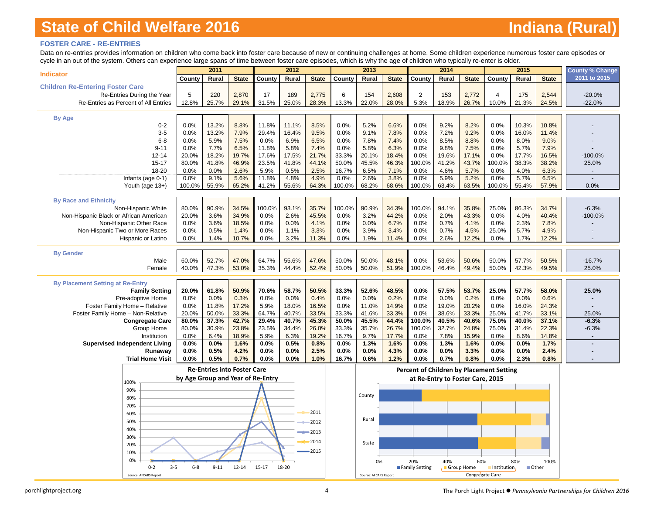### **FOSTER CARE - RE-ENTRIES**

Data on re-entries provides information on children who come back into foster care because of new or continuing challenges at home. Some children experience numerous foster care episodes or cycle in an out of the system. Others can experience large spans of time between foster care episodes, which is why the age of children who typically re-enter is older.

|                                                    |                                   | 2011                               |               |              | 2012          |               |              | 2013                  |               |                                  | 2014          |                 |                                          | 2015          |               | <b>County % Change</b> |
|----------------------------------------------------|-----------------------------------|------------------------------------|---------------|--------------|---------------|---------------|--------------|-----------------------|---------------|----------------------------------|---------------|-----------------|------------------------------------------|---------------|---------------|------------------------|
| <b>Indicator</b>                                   | County                            | Rural                              | <b>State</b>  | County       | Rural         | <b>State</b>  | County       | Rural                 | <b>State</b>  | County                           | Rural         | <b>State</b>    | County                                   | Rural         | <b>State</b>  | 2011 to 2015           |
| <b>Children Re-Entering Foster Care</b>            |                                   |                                    |               |              |               |               |              |                       |               |                                  |               |                 |                                          |               |               |                        |
| Re-Entries During the Year                         | 5                                 | 220                                | 2,870         | 17           | 189           | 2,775         | 6            | 154                   | 2,608         | $\overline{2}$                   | 153           | 2,772           | 4                                        | 175           | 2,544         | $-20.0%$               |
| Re-Entries as Percent of All Entries               | 12.8%                             | 25.7%                              | 29.1%         | 31.5%        | 25.0%         | 28.3%         | 13.3%        | 22.0%                 | 28.0%         | 5.3%                             | 18.9%         | 26.7%           | 10.0%                                    | 21.3%         | 24.5%         | $-22.0%$               |
|                                                    |                                   |                                    |               |              |               |               |              |                       |               |                                  |               |                 |                                          |               |               |                        |
| <b>By Age</b>                                      |                                   |                                    |               |              |               |               |              |                       |               |                                  |               |                 |                                          |               |               |                        |
| $0 - 2$                                            | 0.0%                              | 13.2%                              | 8.8%          | 11.8%        | 11.1%         | 8.5%          | 0.0%         | 5.2%                  | 6.6%          | 0.0%                             | 9.2%          | 8.2%            | 0.0%                                     | 10.3%         | 10.8%         |                        |
| $3-5$                                              | 0.0%                              | 13.2%                              | 7.9%          | 29.4%        | 16.4%         | 9.5%          | 0.0%         | 9.1%                  | 7.8%          | 0.0%                             | 7.2%          | 9.2%            | 0.0%                                     | 16.0%         | 11.4%         |                        |
| $6 - 8$                                            | 0.0%                              | 5.9%                               | 7.5%          | 0.0%         | 6.9%          | 6.5%          | 0.0%         | 7.8%                  | 7.4%          | 0.0%                             | 8.5%          | 8.8%            | 0.0%                                     | 8.0%          | 9.0%          |                        |
| $9 - 11$                                           | 0.0%                              | 7.7%                               | 6.5%          | 11.8%        | 5.8%          | 7.4%          | 0.0%         | 5.8%                  | 6.3%          | 0.0%                             | 9.8%          | 7.5%            | 0.0%                                     | 5.7%          | 7.9%          |                        |
| $12 - 14$                                          | 20.0%                             | 18.2%                              | 19.7%         | 17.6%        | 17.5%         | 21.7%         | 33.3%        | 20.1%                 | 18.4%         | 0.0%                             | 19.6%         | 17.1%           | 0.0%                                     | 17.7%         | 16.5%         | $-100.0%$              |
| $15 - 17$                                          | 80.0%                             | 41.8%                              | 46.9%         | 23.5%        | 41.8%         | 44.1%         | 50.0%        | 45.5%                 | 46.3%         | 100.0%                           | 41.2%         | 43.7%           | 100.0%                                   | 38.3%         | 38.2%         | 25.0%                  |
| 18-20                                              | 0.0%                              | 0.0%                               | 2.6%          | 5.9%         | 0.5%          | 2.5%          | 16.7%        | 6.5%                  | 7.1%          | 0.0%                             | 4.6%          | 5.7%            | 0.0%                                     | 4.0%          | 6.3%          |                        |
| Infants (age 0-1)                                  | 0.0%                              | 9.1%                               | 5.6%          | 11.8%        | 4.8%          | 4.9%          | 0.0%         | 2.6%                  | 3.8%          | 0.0%                             | 5.9%          | 5.2%            | 0.0%                                     | 5.7%          | 6.5%          | $\sim$                 |
| Youth (age 13+)                                    | 100.0%                            | 55.9%                              | 65.2%         | 41.2%        | 55.6%         | 64.3%         | 100.0%       | 68.2%                 | 68.6%         | 100.0%                           | 63.4%         | 63.5%           | 100.0%                                   | 55.4%         | 57.9%         | 0.0%                   |
|                                                    |                                   |                                    |               |              |               |               |              |                       |               |                                  |               |                 |                                          |               |               |                        |
| <b>By Race and Ethnicity</b><br>Non-Hispanic White | 80.0%                             | 90.9%                              | 34.5%         | 100.0%       | 93.1%         | 35.7%         | 100.0%       | 90.9%                 | 34.3%         | 100.0%                           | 94.1%         | 35.8%           | 75.0%                                    | 86.3%         | 34.7%         | $-6.3%$                |
| Non-Hispanic Black or African American             | 20.0%                             | 3.6%                               | 34.9%         | 0.0%         | 2.6%          | 45.5%         | 0.0%         | 3.2%                  | 44.2%         | 0.0%                             | 2.0%          | 43.3%           | 0.0%                                     | 4.0%          | 40.4%         | $-100.0\%$             |
| Non-Hispanic Other Race                            | 0.0%                              | 3.6%                               | 18.5%         | 0.0%         | 0.0%          | 4.1%          | 0.0%         | 0.0%                  | 6.7%          | 0.0%                             | 0.7%          | 4.1%            | 0.0%                                     | 2.3%          | 7.8%          |                        |
| Non-Hispanic Two or More Races                     | 0.0%                              | 0.5%                               | 1.4%          | 0.0%         | 1.1%          | 3.3%          | 0.0%         | 3.9%                  | 3.4%          | 0.0%                             | 0.7%          | 4.5%            | 25.0%                                    | 5.7%          | 4.9%          |                        |
| Hispanic or Latino                                 | 0.0%                              | 1.4%                               | 10.7%         | 0.0%         | 3.2%          | 11.3%         | 0.0%         | 1.9%                  | 11.4%         | 0.0%                             | 2.6%          | 12.2%           | 0.0%                                     | 1.7%          | 12.2%         |                        |
|                                                    |                                   |                                    |               |              |               |               |              |                       |               |                                  |               |                 |                                          |               |               |                        |
| <b>By Gender</b>                                   |                                   |                                    |               |              |               |               |              |                       |               |                                  |               |                 |                                          |               |               |                        |
| Male                                               | 60.0%                             | 52.7%                              | 47.0%         | 64.7%        | 55.6%         | 47.6%         | 50.0%        | 50.0%                 | 48.1%         | 0.0%                             | 53.6%         | 50.6%           | 50.0%                                    | 57.7%         | 50.5%         | $-16.7%$               |
| Female                                             | 40.0%                             | 47.3%                              | 53.0%         | 35.3%        | 44.4%         | 52.4%         | 50.0%        | 50.0%                 | 51.9%         | 100.0%                           | 46.4%         | 49.4%           | 50.0%                                    | 42.3%         | 49.5%         | 25.0%                  |
|                                                    |                                   |                                    |               |              |               |               |              |                       |               |                                  |               |                 |                                          |               |               |                        |
| <b>By Placement Setting at Re-Entry</b>            |                                   |                                    |               |              |               |               |              |                       |               |                                  |               |                 |                                          |               |               |                        |
| <b>Family Setting</b>                              | 20.0%                             | 61.8%                              | 50.9%         | 70.6%        | 58.7%         | 50.5%         | 33.3%        | 52.6%                 | 48.5%         | 0.0%                             | 57.5%         | 53.7%           | 25.0%                                    | 57.7%         | 58.0%         | 25.0%                  |
| Pre-adoptive Home<br>Foster Family Home - Relative | 0.0%<br>0.0%                      | 0.0%<br>11.8%                      | 0.3%<br>17.2% | 0.0%<br>5.9% | 0.0%<br>18.0% | 0.4%<br>16.5% | 0.0%<br>0.0% | 0.0%<br>11.0%         | 0.2%<br>14.9% | 0.0%<br>0.0%                     | 0.0%<br>19.0% | 0.2%<br>20.2%   | 0.0%<br>0.0%                             | 0.0%<br>16.0% | 0.6%<br>24.3% |                        |
| Foster Family Home - Non-Relative                  | 20.0%                             | 50.0%                              | 33.3%         | 64.7%        | 40.7%         | 33.5%         | 33.3%        | 41.6%                 | 33.3%         | 0.0%                             | 38.6%         | 33.3%           | 25.0%                                    | 41.7%         | 33.1%         | 25.0%                  |
| <b>Congregate Care</b>                             | 80.0%                             | 37.3%                              | 42.7%         | 29.4%        | 40.7%         | 45.3%         | 50.0%        | 45.5%                 | 44.4%         | 100.0%                           | 40.5%         | 40.6%           | 75.0%                                    | 40.0%         | 37.1%         | $-6.3%$                |
| Group Home                                         | 80.0%                             | 30.9%                              | 23.8%         | 23.5%        | 34.4%         | 26.0%         | 33.3%        | 35.7%                 | 26.7%         | 100.0%                           | 32.7%         | 24.8%           | 75.0%                                    | 31.4%         | 22.3%         | $-6.3%$                |
| Institution                                        | 0.0%                              | 6.4%                               | 18.9%         | 5.9%         | 6.3%          | 19.2%         | 16.7%        | 9.7%                  | 17.7%         | 0.0%                             | 7.8%          | 15.9%           | 0.0%                                     | 8.6%          | 14.8%         |                        |
| <b>Supervised Independent Living</b>               | 0.0%                              | 0.0%                               | 1.6%          | 0.0%         | 0.5%          | 0.8%          | 0.0%         | 1.3%                  | 1.6%          | 0.0%                             | 1.3%          | 1.6%            | 0.0%                                     | 0.0%          | 1.7%          |                        |
| Runaway                                            | 0.0%                              | 0.5%                               | 4.2%          | 0.0%         | 0.0%          | 2.5%          | 0.0%         | 0.0%                  | 4.3%          | 0.0%                             | 0.0%          | 3.3%            | 0.0%                                     | 0.0%          | 2.4%          | $\blacksquare$         |
| <b>Trial Home Visit</b>                            | 0.0%                              | 0.5%                               | 0.7%          | 0.0%         | 0.0%          | 1.0%          | 16.7%        | 0.6%                  | 1.2%          | 0.0%                             | 0.7%          | 0.8%            | 0.0%                                     | 2.3%          | 0.8%          |                        |
|                                                    |                                   | <b>Re-Entries into Foster Care</b> |               |              |               |               |              |                       |               |                                  |               |                 | Percent of Children by Placement Setting |               |               |                        |
|                                                    | by Age Group and Year of Re-Entry |                                    |               |              |               |               |              |                       |               | at Re-Entry to Foster Care, 2015 |               |                 |                                          |               |               |                        |
| 100%                                               |                                   |                                    |               |              |               |               |              |                       |               |                                  |               |                 |                                          |               |               |                        |
| 90%                                                |                                   |                                    |               |              |               |               |              |                       |               |                                  |               |                 |                                          |               |               |                        |
| 80%                                                |                                   |                                    |               |              |               |               |              | County                |               |                                  |               |                 |                                          |               |               |                        |
| 70%                                                |                                   |                                    |               |              |               |               |              |                       |               |                                  |               |                 |                                          |               |               |                        |
| 60%                                                |                                   |                                    |               |              |               | 2011          |              |                       |               |                                  |               |                 |                                          |               |               |                        |
| 50%                                                |                                   |                                    |               |              |               | 2012          |              | Rural                 |               |                                  |               |                 |                                          |               |               |                        |
| 40%                                                |                                   |                                    |               |              |               | 2013          |              |                       |               |                                  |               |                 |                                          |               |               |                        |
| 30%                                                |                                   |                                    |               |              |               | 2014          |              |                       |               |                                  |               |                 |                                          |               |               |                        |
| 20%                                                |                                   |                                    |               |              |               |               |              | State                 |               |                                  |               |                 |                                          |               |               |                        |
| 10%                                                |                                   |                                    |               |              |               | 2015          |              |                       |               |                                  |               |                 |                                          |               |               |                        |
| 0%                                                 |                                   |                                    |               |              |               |               |              | 0%                    |               | 20%                              | 40%           | 60%             |                                          | 80%           | 100%          |                        |
| $0 - 2$<br>$3 - 5$                                 | $6 - 8$                           | $9 - 11$                           | $12 - 14$     | 15-17        | 18-20         |               |              |                       |               | Family Setting                   |               | Group Home      | <b>Institution</b>                       | ■ Other       |               |                        |
| Source: AFCARS Report                              |                                   |                                    |               |              |               |               |              | Source: AFCARS Report |               |                                  |               | Congregate Care |                                          |               |               |                        |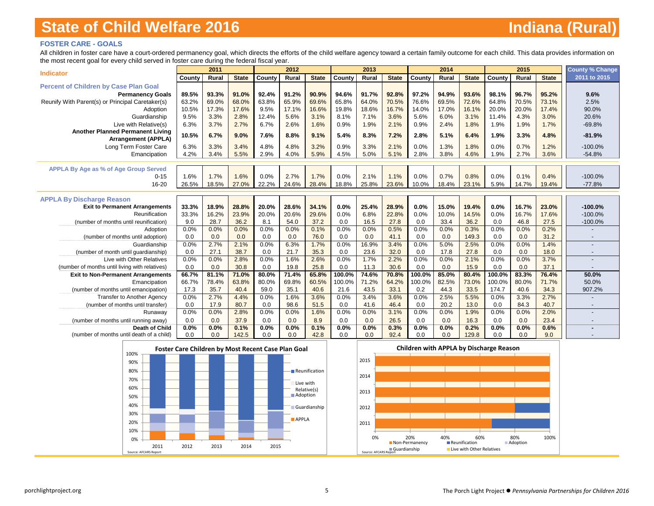### **FOSTER CARE - GOALS**

All children in foster care have a court-ordered permanency goal, which directs the efforts of the child welfare agency toward a certain family outcome for each child. This data provides information on the most recent goal for every child served in foster care during the federal fiscal year.

|                                                  |        | 2011  |              |        | 2012  |              |        | 2013  |              |        | 2014  |              |         | 2015  |              | <b>County % Change</b>   |
|--------------------------------------------------|--------|-------|--------------|--------|-------|--------------|--------|-------|--------------|--------|-------|--------------|---------|-------|--------------|--------------------------|
| <b>Indicator</b>                                 | County | Rural | <b>State</b> | County | Rural | <b>State</b> | County | Rural | <b>State</b> | County | Rural | <b>State</b> | County  | Rural | <b>State</b> | 2011 to 2015             |
| <b>Percent of Children by Case Plan Goal</b>     |        |       |              |        |       |              |        |       |              |        |       |              |         |       |              |                          |
| <b>Permanency Goals</b>                          | 89.5%  | 93.3% | 91.0%        | 92.4%  | 91.2% | 90.9%        | 94.6%  | 91.7% | 92.8%        | 97.2%  | 94.9% | 93.6%        | 98.1%   | 96.7% | 95.2%        | 9.6%                     |
| Reunify With Parent(s) or Principal Caretaker(s) | 63.2%  | 69.0% | 68.0%        | 63.8%  | 65.9% | 69.6%        | 65.8%  | 64.0% | 70.5%        | 76.6%  | 69.5% | 72.6%        | 64.8%   | 70.5% | 73.1%        | 2.5%                     |
| Adoption                                         | 10.5%  | 17.3% | 17.6%        | 9.5%   | 17.1% | 16.6%        | 19.8%  | 18.6% | 16.7%        | 14.0%  | 17.0% | 16.1%        | 20.0%   | 20.0% | 17.4%        | 90.0%                    |
| Guardianship                                     | 9.5%   | 3.3%  | 2.8%         | 12.4%  | 5.6%  | 3.1%         | 8.1%   | 7.1%  | 3.6%         | 5.6%   | 6.0%  | 3.1%         | 11.4%   | 4.3%  | 3.0%         | 20.6%                    |
| Live with Relative(s)                            | 6.3%   | 3.7%  | 2.7%         | 6.7%   | 2.6%  | 1.6%         | 0.9%   | 1.9%  | 2.1%         | 0.9%   | 2.4%  | 1.8%         | 1.9%    | 1.9%  | 1.7%         | $-69.8%$                 |
| <b>Another Planned Permanent Living</b>          | 10.5%  | 6.7%  | 9.0%         | 7.6%   | 8.8%  | 9.1%         | 5.4%   | 8.3%  | 7.2%         | 2.8%   | 5.1%  | 6.4%         | 1.9%    | 3.3%  | 4.8%         | $-81.9%$                 |
| <b>Arrangement (APPLA)</b>                       |        |       |              |        |       |              |        |       |              |        |       |              |         |       |              |                          |
| Long Term Foster Care                            | 6.3%   | 3.3%  | 3.4%         | 4.8%   | 4.8%  | 3.2%         | 0.9%   | 3.3%  | 2.1%         | 0.0%   | 1.3%  | 1.8%         | 0.0%    | 0.7%  | 1.2%         | $-100.0%$                |
| Emancipation                                     | 4.2%   | 3.4%  | 5.5%         | 2.9%   | 4.0%  | 5.9%         | 4.5%   | 5.0%  | 5.1%         | 2.8%   | 3.8%  | 4.6%         | 1.9%    | 2.7%  | 3.6%         | $-54.8%$                 |
|                                                  |        |       |              |        |       |              |        |       |              |        |       |              |         |       |              |                          |
| APPLA By Age as % of Age Group Served            |        |       |              |        |       |              |        |       |              |        |       |              |         |       |              |                          |
| $0 - 15$                                         | 1.6%   | 1.7%  | 1.6%         | 0.0%   | 2.7%  | 1.7%         | 0.0%   | 2.1%  | 1.1%         | 0.0%   | 0.7%  | 0.8%         | 0.0%    | 0.1%  | 0.4%         | $-100.0%$                |
| 16-20                                            | 26.5%  | 18.5% | 27.0%        | 22.2%  | 24.6% | 28.4%        | 18.8%  | 25.8% | 23.6%        | 10.0%  | 18.4% | 23.1%        | 5.9%    | 14.7% | 19.4%        | $-77.8%$                 |
| <b>APPLA By Discharge Reason</b>                 |        |       |              |        |       |              |        |       |              |        |       |              |         |       |              |                          |
| <b>Exit to Permanent Arrangements</b>            | 33.3%  | 18.9% | 28.8%        | 20.0%  | 28.6% | 34.1%        | 0.0%   | 25.4% | 28.9%        | 0.0%   | 15.0% | 19.4%        | 0.0%    | 16.7% | 23.0%        | $-100.0%$                |
| Reunification                                    | 33.3%  | 16.2% | 23.9%        | 20.0%  | 20.6% | 29.6%        | 0.0%   | 6.8%  | 22.8%        | 0.0%   | 10.0% | 14.5%        | 0.0%    | 16.7% | 17.6%        | $-100.0%$                |
| (number of months until reunification)           | 9.0    | 28.7  | 36.2         | 8.1    | 54.0  | 37.2         | 0.0    | 16.5  | 27.8         | 0.0    | 33.4  | 36.2         | 0.0     | 46.8  | 27.5         | $-100.0%$                |
| Adoption                                         | 0.0%   | 0.0%  | 0.0%         | 0.0%   | 0.0%  | 0.1%         | 0.0%   | 0.0%  | 0.5%         | 0.0%   | 0.0%  | 0.3%         | 0.0%    | 0.0%  | 0.2%         |                          |
| (number of months until adoption)                | 0.0    | 0.0   | 0.0          | 0.0    | 0.0   | 76.0         | 0.0    | 0.0   | 41.1         | 0.0    | 0.0   | 149.3        | 0.0     | 0.0   | 31.2         | $\overline{\phantom{a}}$ |
| Guardianship                                     | 0.0%   | 2.7%  | 2.1%         | 0.0%   | 6.3%  | 1.7%         | 0.0%   | 16.9% | 3.4%         | 0.0%   | 5.0%  | 2.5%         | 0.0%    | 0.0%  | 1.4%         |                          |
| (number of month until guardianship)             | 0.0    | 27.1  | 38.7         | 0.0    | 21.7  | 35.3         | 0.0    | 23.6  | 32.0         | 0.0    | 17.8  | 27.8         | 0.0     | 0.0   | 18.0         | $\overline{\phantom{a}}$ |
| Live with Other Relatives                        | 0.0%   | 0.0%  | 2.8%         | 0.0%   | 1.6%  | 2.6%         | 0.0%   | 1.7%  | 2.2%         | 0.0%   | 0.0%  | 2.1%         | 0.0%    | 0.0%  | 3.7%         |                          |
| (number of months until living with relatives)   | 0.0    | 0.0   | 30.8         | 0.0    | 19.8  | 25.8         | 0.0    | 11.3  | 30.6         | 0.0    | 0.0   | 15.9         | 0.0     | 0.0   | 37.1         |                          |
| <b>Exit to Non-Permanent Arrangements</b>        | 66.7%  | 81.1% | 71.0%        | 80.0%  | 71.4% | 65.8%        | 100.0% | 74.6% | 70.8%        | 100.0% | 85.0% | 80.4%        | 100.0%  | 83.3% | 76.4%        | 50.0%                    |
| Emancipation                                     | 66.7%  | 78.4% | 63.8%        | 80.0%  | 69.8% | 60.5%        | 100.0% | 71.2% | 64.2%        | 100.0% | 82.5% | 73.0%        | 100.0%  | 80.0% | 71.7%        | 50.0%                    |
| (number of months until emancipation)            | 17.3   | 35.7  | 40.4         | 59.0   | 35.1  | 40.6         | 21.6   | 43.5  | 33.1         | 0.2    | 44.3  | 33.5         | 174.7   | 40.6  | 34.3         | 907.2%                   |
| Transfer to Another Agency                       | 0.0%   | 2.7%  | 4.4%         | 0.0%   | 1.6%  | 3.6%         | 0.0%   | 3.4%  | 3.6%         | 0.0%   | 2.5%  | 5.5%         | 0.0%    | 3.3%  | 2.7%         |                          |
| (number of months until transfer)                | 0.0    | 17.9  | 80.7         | 0.0    | 98.6  | 51.5         | 0.0    | 41.6  | 46.4         | 0.0    | 20.2  | 13.0         | 0.0     | 84.3  | 40.7         |                          |
| Runaway                                          | 0.0%   | 0.0%  | 2.8%         | 0.0%   | 0.0%  | 1.6%         | 0.0%   | 0.0%  | 3.1%         | 0.0%   | 0.0%  | 1.9%         | $0.0\%$ | 0.0%  | 2.0%         |                          |
| (number of months until running away)            | 0.0    | 0.0   | 37.9         | 0.0    | 0.0   | 8.9          | 0.0    | 0.0   | 26.5         | 0.0    | 0.0   | 16.3         | 0.0     | 0.0   | 23.4         |                          |
| <b>Death of Child</b>                            | 0.0%   | 0.0%  | 0.1%         | 0.0%   | 0.0%  | 0.1%         | 0.0%   | 0.0%  | 0.3%         | 0.0%   | 0.0%  | 0.2%         | 0.0%    | 0.0%  | 0.6%         |                          |
| (number of months until death of a child)        | 0.0    | 0.0   | 142.5        | 0.0    | 0.0   | 42.8         | 0.0    | 0.0   | 92.4         | 0.0    | 0.0   | 129.8        | 0.0     | 0.0   | 9.0          |                          |



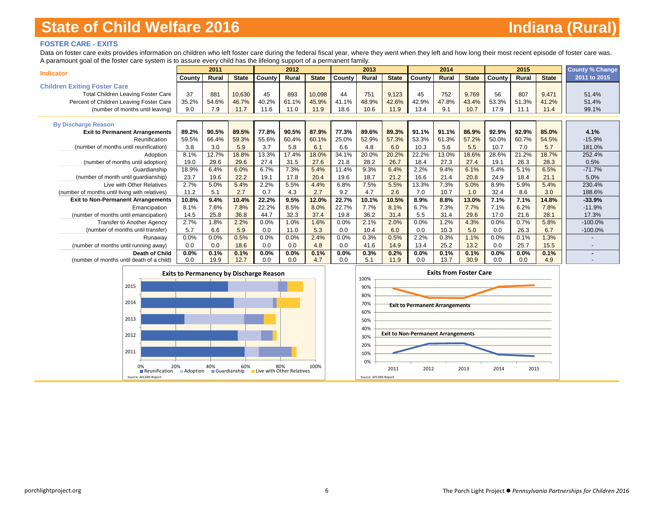### **FOSTER CARE - EXITS**

Data on foster care exits provides information on children who left foster care during the federal fiscal year, where they went when they left and how long their most recent episode of foster care was. A paramount goal of the foster care system is to assure every child has the lifelong support of a permanent family.

|                                                |        | 2011  |              |        | 2012  |              |        | 2013  |              |        | 2014  |              |        | 2015  |              | <b>County % Change</b> |
|------------------------------------------------|--------|-------|--------------|--------|-------|--------------|--------|-------|--------------|--------|-------|--------------|--------|-------|--------------|------------------------|
| <b>Indicator</b>                               | County | Rural | <b>State</b> | County | Rural | <b>State</b> | County | Rural | <b>State</b> | County | Rural | <b>State</b> | County | Rural | <b>State</b> | 2011 to 2015           |
| <b>Children Exiting Foster Care</b>            |        |       |              |        |       |              |        |       |              |        |       |              |        |       |              |                        |
| <b>Total Children Leaving Foster Care</b>      | 37     | 881   | 10,630       | 45     | 893   | 10,098       | 44     | 751   | 9,123        | 45     | 752   | 9,769        | 56     | 807   | 9,471        | 51.4%                  |
| Percent of Children Leaving Foster Care        | 35.2%  | 54.6% | 46.7%        | 40.2%  | 61.1% | 45.9%        | 41.1%  | 48.9% | 42.6%        | 42.9%  | 47.8% | 43.4%        | 53.3%  | 51.3% | 41.2%        | 51.4%                  |
| (number of months until leaving)               | 9.0    | 7.9   | 11.7         | 11.6   | 11.0  | 11.9         | 18.6   | 10.6  | 11.9         | 13.4   | 9.1   | 10.7         | 17.9   | 11.1  | 11.4         | 99.1%                  |
|                                                |        |       |              |        |       |              |        |       |              |        |       |              |        |       |              |                        |
| <b>By Discharge Reason</b>                     |        |       |              |        |       |              |        |       |              |        |       |              |        |       |              |                        |
| <b>Exit to Permanent Arrangements</b>          | 89.2%  | 90.5% | 89.5%        | 77.8%  | 90.5% | 87.9%        | 77.3%  | 89.6% | 89.3%        | 91.1%  | 91.1% | 86.9%        | 92.9%  | 92.9% | 85.0%        | 4.1%                   |
| Reunification                                  | 59.5%  | 66.4% | 59.3%        | 55.6%  | 60.4% | 60.1%        | 25.0%  | 52.9% | 57.3%        | 53.3%  | 61.3% | 57.2%        | 50.0%  | 60.7% | 54.5%        | $-15.9%$               |
| (number of months until reunification)         | 3.8    | 3.0   | 5.9          | 3.7    | 5.8   | 6.1          | 6.6    | 4.8   | 6.0          | 10.3   | 5.6   | 5.5          | 10.7   | 7.0   | 5.7          | 181.0%                 |
| Adoption                                       | 8.1%   | 12.7% | 18.8%        | 13.3%  | 17.4% | 18.0%        | 34.1%  | 20.0% | 20.2%        | 22.2%  | 13.0% | 18.6%        | 28.6%  | 21.2% | 18.7%        | 252.4%                 |
| (number of months until adoption)              | 19.0   | 29.6  | 29.6         | 27.4   | 31.5  | 27.6         | 21.8   | 28.2  | 26.7         | 18.4   | 27.3  | 27.4         | 19.1   | 26.3  | 28.3         | 0.5%                   |
| Guardianship                                   | 18.9%  | 6.4%  | 6.0%         | 6.7%   | 7.3%  | 5.4%         | 11.4%  | 9.3%  | 6.4%         | 2.2%   | 9.4%  | 6.1%         | 5.4%   | 5.1%  | 6.5%         | $-71.7%$               |
| (number of month until quardianship)           | 23.7   | 19.6  | 22.2         | 19.1   | 17.8  | 20.4         | 19.6   | 18.7  | 21.2         | 16.6   | 21.4  | 20.8         | 24.9   | 18.4  | 21.1         | 5.0%                   |
| Live with Other Relatives                      | 2.7%   | 5.0%  | 5.4%         | 2.2%   | 5.5%  | 4.4%         | 6.8%   | 7.5%  | 5.5%         | 13.3%  | 7.3%  | 5.0%         | 8.9%   | 5.9%  | 5.4%         | 230.4%                 |
| (number of months until living with relatives) | 11.2   | 5.1   | 2.7          | 0.7    | 4.3   | 2.7          | 9.2    | 4.7   | 2.6          | 7.0    | 10.7  | 1.0          | 32.4   | 8.6   | 3.0          | 188.6%                 |
| <b>Exit to Non-Permanent Arrangements</b>      | 10.8%  | 9.4%  | 10.4%        | 22.2%  | 9.5%  | 12.0%        | 22.7%  | 10.1% | 10.5%        | 8.9%   | 8.8%  | 13.0%        | 7.1%   | 7.1%  | 14.8%        | $-33.9%$               |
| Emancipation                                   | 8.1%   | 7.6%  | 7.8%         | 22.2%  | 8.5%  | 8.0%         | 22.7%  | 7.7%  | 8.1%         | 6.7%   | 7.3%  | 7.7%         | 7.1%   | 6.2%  | 7.8%         | $-11.9%$               |
| (number of months until emancipation)          | 14.5   | 25.8  | 36.8         | 44.7   | 32.3  | 37.4         | 19.8   | 36.2  | 31.4         | 5.5    | 31.4  | 29.6         | 17.0   | 21.6  | 28.1         | 17.3%                  |
| <b>Transfer to Another Agency</b>              | 2.7%   | 1.8%  | 2.2%         | 0.0%   | 1.0%  | 1.6%         | 0.0%   | 2.1%  | 2.0%         | 0.0%   | 1.2%  | 4.3%         | 0.0%   | 0.7%  | 5.8%         | $-100.0%$              |
| (number of months until transfer)              | 5.7    | 6.6   | 5.9          | 0.0    | 11.0  | 5.3          | 0.0    | 10.4  | 6.0          | 0.0    | 10.3  | 5.0          | 0.0    | 26.3  | 6.7          | $-100.0%$              |
| Runaway                                        | 0.0%   | 0.0%  | 0.5%         | 0.0%   | 0.0%  | 2.4%         | 0.0%   | 0.3%  | 0.5%         | 2.2%   | 0.3%  | 1.1%         | 0.0%   | 0.1%  | 1.3%         |                        |
| (number of months until running away)          | 0.0    | 0.0   | 18.6         | 0.0    | 0.0   | 4.8          | 0.0    | 41.6  | 14.9         | 13.4   | 25.2  | 13.2         | 0.0    | 25.7  | 15.5         |                        |
| Death of Child                                 | 0.0%   | 0.1%  | 0.1%         | 0.0%   | 0.0%  | 0.1%         | 0.0%   | 0.3%  | 0.2%         | 0.0%   | 0.1%  | 0.1%         | 0.0%   | 0.0%  | 0.1%         |                        |
| (number of months until death of a child)      | 0.0    | 19.9  | 12.7         | 0.0    | 0.0   | 4.7          | 0.0    | 5.1   | 11.9         | 0.0    | 13.7  | 30.9         | 0.0    | 0.0   | 4.9          |                        |

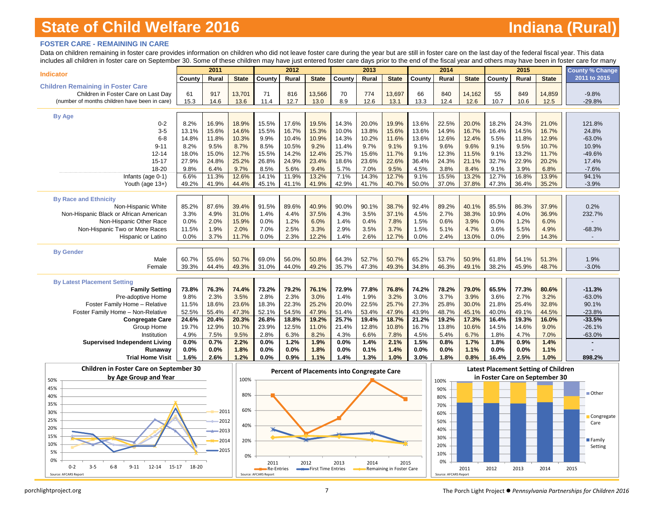### **FOSTER CARE - REMAINING IN CARE**

Data on children remaining in foster care provides information on children who did not leave foster care during the year but are still in foster care on the last day of the federal fiscal year. This data includes all children in foster care on September 30. Some of these children may have just entered foster care days prior to the end of the fiscal year and others may have been in foster care for many

|                                                             |              | 2011  |              |        | 2012  |              |        | 2013  |              |        | 2014  |              |        | 2015  |                                    | <b>County % Change</b> |
|-------------------------------------------------------------|--------------|-------|--------------|--------|-------|--------------|--------|-------|--------------|--------|-------|--------------|--------|-------|------------------------------------|------------------------|
| <b>Indicator</b>                                            | County       | Rural | <b>State</b> | County | Rural | <b>State</b> | County | Rural | <b>State</b> | County | Rural | <b>State</b> | County | Rural | <b>State</b>                       | 2011 to 2015           |
| <b>Children Remaining in Foster Care</b>                    |              |       |              |        |       |              |        |       |              |        |       |              |        |       |                                    |                        |
| Children in Foster Care on Last Day                         | 61           | 917   | 13,701       | 71     | 816   | 13,566       | 70     | 774   | 13,697       | 66     | 840   | 14,162       | 55     | 849   | 14,859                             | $-9.8%$                |
| (number of months children have been in care)               | 15.3         | 14.6  | 13.6         | 11.4   | 12.7  | 13.0         | 8.9    | 12.6  | 13.1         | 13.3   | 12.4  | 12.6         | 10.7   | 10.6  | 12.5                               | $-29.8%$               |
|                                                             |              |       |              |        |       |              |        |       |              |        |       |              |        |       |                                    |                        |
| <b>By Age</b>                                               |              |       |              |        |       |              |        |       |              |        |       |              |        |       |                                    |                        |
| $0 - 2$                                                     | 8.2%         | 16.9% | 18.9%        | 15.5%  | 17.6% | 19.5%        | 14.3%  | 20.0% | 19.9%        | 13.6%  | 22.5% | 20.0%        | 18.2%  | 24.3% | 21.0%                              | 121.8%                 |
| $3-5$                                                       | 13.1%        | 15.6% | 14.6%        | 15.5%  | 16.7% | 15.3%        | 10.0%  | 13.8% | 15.6%        | 13.6%  | 14.9% | 16.7%        | 16.4%  | 14.5% | 16.7%                              | 24.8%                  |
| $6 - 8$                                                     | 14.8%        | 11.8% | 10.3%        | 9.9%   | 10.4% | 10.9%        | 14.3%  | 10.2% | 11.6%        | 13.6%  | 12.6% | 12.4%        | 5.5%   | 11.8% | 12.9%                              | $-63.0%$               |
| $9 - 11$                                                    | 8.2%         | 9.5%  | 8.7%         | 8.5%   | 10.5% | 9.2%         | 11.4%  | 9.7%  | 9.1%         | 9.1%   | 9.6%  | 9.6%         | 9.1%   | 9.5%  | 10.7%                              | 10.9%                  |
| $12 - 14$                                                   | 18.0%        | 15.0% | 12.7%        | 15.5%  | 14.2% | 12.4%        | 25.7%  | 15.6% | 11.7%        | 9.1%   | 12.3% | 11.5%        | 9.1%   | 13.2% | 11.7%                              | $-49.6%$               |
| $15 - 17$                                                   | 27.9%        | 24.8% | 25.2%        | 26.8%  | 24.9% | 23.4%        | 18.6%  | 23.6% | 22.6%        | 36.4%  | 24.3% | 21.1%        | 32.7%  | 22.9% | 20.2%                              | 17.4%                  |
| 18-20                                                       | 9.8%         | 6.4%  | 9.7%         | 8.5%   | 5.6%  | 9.4%         | 5.7%   | 7.0%  | 9.5%         | 4.5%   | 3.8%  | 8.4%         | 9.1%   | 3.9%  | 6.8%                               | $-7.6%$                |
| Infants (age 0-1)                                           | 6.6%         | 11.3% | 12.6%        | 14.1%  | 11.9% | 13.2%        | 7.1%   | 14.3% | 12.7%        | 9.1%   | 15.5% | 13.2%        | 12.7%  | 16.8% | 13.9%                              | 94.1%                  |
| Youth (age 13+)                                             | 49.2%        | 41.9% | 44.4%        | 45.1%  | 41.1% | 41.9%        | 42.9%  | 41.7% | 40.7%        | 50.0%  | 37.0% | 37.8%        | 47.3%  | 36.4% | 35.2%                              | $-3.9%$                |
|                                                             |              |       |              |        |       |              |        |       |              |        |       |              |        |       |                                    |                        |
| <b>By Race and Ethnicity</b>                                |              |       |              |        |       |              |        |       |              |        |       |              |        |       |                                    |                        |
| Non-Hispanic White                                          | 85.2%        | 87.6% | 39.4%        | 91.5%  | 89.6% | 40.9%        | 90.0%  | 90.1% | 38.7%        | 92.4%  | 89.2% | 40.1%        | 85.5%  | 86.3% | 37.9%                              | 0.2%                   |
| Non-Hispanic Black or African American                      | 3.3%         | 4.9%  | 31.0%        | 1.4%   | 4.4%  | 37.5%        | 4.3%   | 3.5%  | 37.1%        | 4.5%   | 2.7%  | 38.3%        | 10.9%  | 4.0%  | 36.9%                              | 232.7%                 |
| Non-Hispanic Other Race                                     | 0.0%         | 2.0%  | 15.9%        | 0.0%   | 1.2%  | 6.0%         | 1.4%   | 0.4%  | 7.8%         | 1.5%   | 0.6%  | 3.9%         | 0.0%   | 1.2%  | 6.0%                               |                        |
| Non-Hispanic Two or More Races                              | 11.5%        | 1.9%  | 2.0%         | 7.0%   | 2.5%  | 3.3%         | 2.9%   | 3.5%  | 3.7%         | 1.5%   | 5.1%  | 4.7%         | 3.6%   | 5.5%  | 4.9%                               | $-68.3%$               |
| Hispanic or Latino                                          | 0.0%         | 3.7%  | 11.7%        | 0.0%   | 2.3%  | 12.2%        | 1.4%   | 2.6%  | 12.7%        | 0.0%   | 2.4%  | 13.0%        | 0.0%   | 2.9%  | 14.3%                              |                        |
|                                                             |              |       |              |        |       |              |        |       |              |        |       |              |        |       |                                    |                        |
| <b>By Gender</b>                                            |              |       |              |        |       |              |        |       |              |        |       |              |        |       |                                    |                        |
| Male                                                        | 60.7%        | 55.6% | 50.7%        | 69.0%  | 56.0% | 50.8%        | 64.3%  | 52.7% | 50.7%        | 65.2%  | 53.7% | 50.9%        | 61.8%  | 54.1% | 51.3%                              | 1.9%                   |
| Female                                                      | 39.3%        | 44.4% | 49.3%        | 31.0%  | 44.0% | 49.2%        | 35.7%  | 47.3% | 49.3%        | 34.8%  | 46.3% | 49.1%        | 38.2%  | 45.9% | 48.7%                              | $-3.0%$                |
|                                                             |              |       |              |        |       |              |        |       |              |        |       |              |        |       |                                    |                        |
| <b>By Latest Placement Setting</b><br><b>Family Setting</b> | 73.8%        | 76.3% | 74.4%        | 73.2%  | 79.2% | 76.1%        | 72.9%  | 77.8% | 76.8%        | 74.2%  | 78.2% | 79.0%        | 65.5%  | 77.3% | 80.6%                              | $-11.3%$               |
| Pre-adoptive Home                                           | 9.8%         | 2.3%  | 3.5%         | 2.8%   | 2.3%  | 3.0%         | 1.4%   | 1.9%  | 3.2%         | 3.0%   | 3.7%  | 3.9%         | 3.6%   | 2.7%  | 3.2%                               | $-63.0%$               |
| Foster Family Home - Relative                               | 11.5%        | 18.6% | 23.6%        | 18.3%  | 22.3% | 25.2%        | 20.0%  | 22.5% | 25.7%        | 27.3%  | 25.8% | 30.0%        | 21.8%  | 25.4% | 32.8%                              | 90.1%                  |
| Foster Family Home - Non-Relative                           | 52.5%        | 55.4% | 47.3%        | 52.1%  | 54.5% | 47.9%        | 51.4%  | 53.4% | 47.9%        | 43.9%  | 48.7% | 45.1%        | 40.0%  | 49.1% | 44.5%                              | $-23.8%$               |
| <b>Congregate Care</b>                                      | 24.6%        | 20.4% | 20.3%        | 26.8%  | 18.8% | 19.2%        | 25.7%  | 19.4% | 18.7%        | 21.2%  | 19.2% | 17.3%        | 16.4%  | 19.3% | 16.0%                              | $-33.5%$               |
| Group Home                                                  | 19.7%        | 12.9% | 10.7%        | 23.9%  | 12.5% | 11.0%        | 21.4%  | 12.8% | 10.8%        | 16.7%  | 13.8% | 10.6%        | 14.5%  | 14.6% | 9.0%                               | $-26.1%$               |
| Institution                                                 | 4.9%         | 7.5%  | 9.5%         | 2.8%   | 6.3%  | 8.2%         | 4.3%   | 6.6%  | 7.8%         | 4.5%   | 5.4%  | 6.7%         | 1.8%   | 4.7%  | 7.0%                               | $-63.0%$               |
| <b>Supervised Independent Living</b>                        | 0.0%         | 0.7%  | 2.2%         | 0.0%   | 1.2%  | 1.9%         | 0.0%   | 1.4%  | 2.1%         | 1.5%   | 0.8%  | 1.7%         | 1.8%   | 0.9%  | 1.4%                               |                        |
|                                                             |              | 0.0%  | 1.8%         | 0.0%   | 0.0%  |              | 0.0%   | 0.1%  | 1.4%         | 0.0%   | 0.0%  | 1.1%         | 0.0%   | 0.0%  |                                    |                        |
| Runaway<br><b>Trial Home Visit</b>                          | 0.0%<br>1.6% | 2.6%  | 1.2%         | 0.0%   | 0.9%  | 1.8%<br>1.1% | 1.4%   | 1.3%  | 1.0%         | 3.0%   | 1.8%  | 0.8%         | 16.4%  | 2.5%  | 1.1%<br>1.0%                       | 898.2%                 |
|                                                             |              |       |              |        |       |              |        |       |              |        |       |              |        |       |                                    |                        |
| Children in Fester Care on Contember 20                     |              |       |              |        |       |              |        |       |              |        |       |              |        |       | Latest Dissement Catting of Childu |                        |